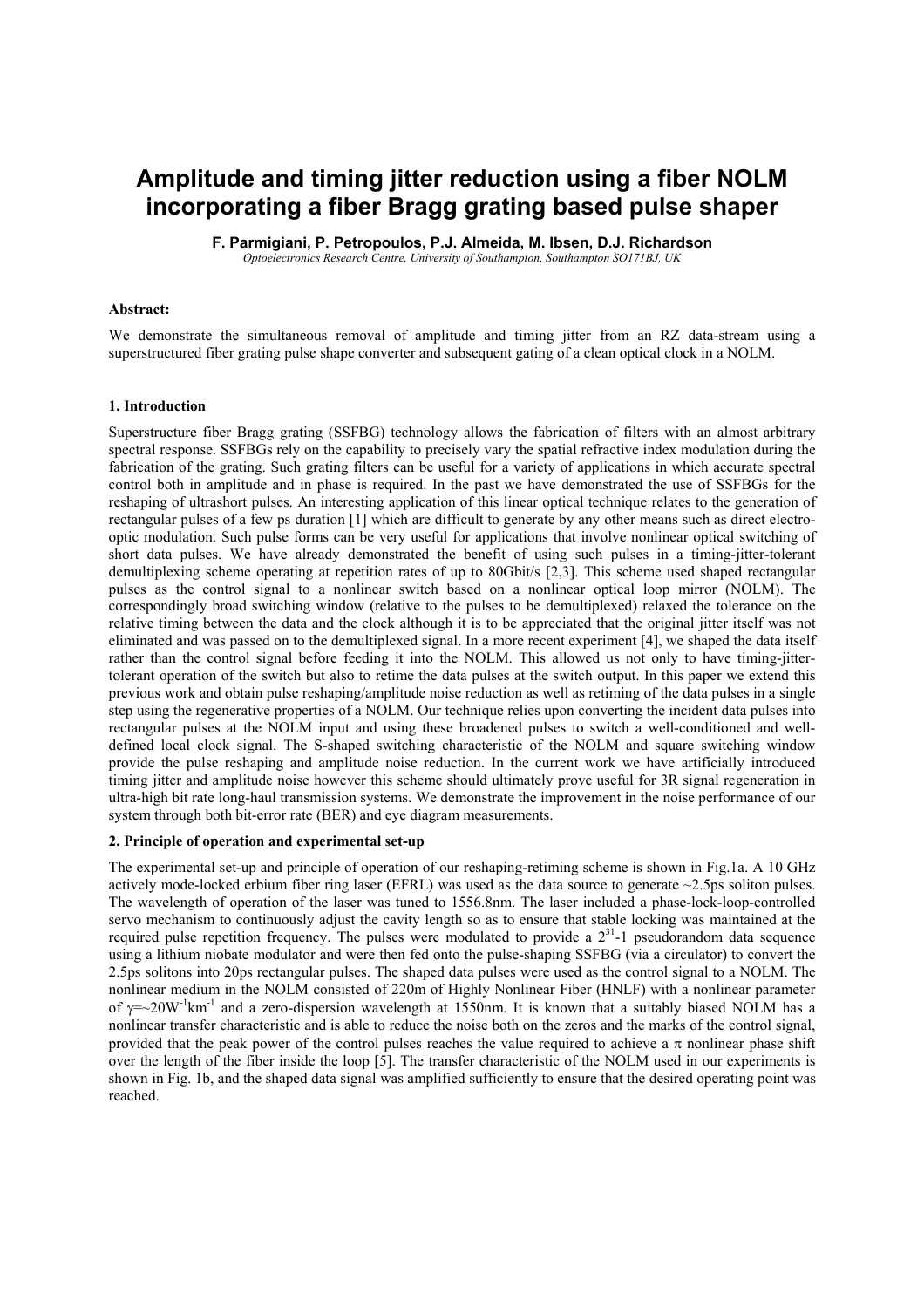# **Amplitude and timing jitter reduction using a fiber NOLM incorporating a fiber Bragg grating based pulse shaper**

**F. Parmigiani, P. Petropoulos, P.J. Almeida, M. Ibsen, D.J. Richardson** 

*Optoelectronics Research Centre, University of Southampton, Southampton SO171BJ, UK* 

# **Abstract:**

We demonstrate the simultaneous removal of amplitude and timing jitter from an RZ data-stream using a superstructured fiber grating pulse shape converter and subsequent gating of a clean optical clock in a NOLM.

# **1. Introduction**

Superstructure fiber Bragg grating (SSFBG) technology allows the fabrication of filters with an almost arbitrary spectral response. SSFBGs rely on the capability to precisely vary the spatial refractive index modulation during the fabrication of the grating. Such grating filters can be useful for a variety of applications in which accurate spectral control both in amplitude and in phase is required. In the past we have demonstrated the use of SSFBGs for the reshaping of ultrashort pulses. An interesting application of this linear optical technique relates to the generation of rectangular pulses of a few ps duration [1] which are difficult to generate by any other means such as direct electrooptic modulation. Such pulse forms can be very useful for applications that involve nonlinear optical switching of short data pulses. We have already demonstrated the benefit of using such pulses in a timing-jitter-tolerant demultiplexing scheme operating at repetition rates of up to 80Gbit/s [2,3]. This scheme used shaped rectangular pulses as the control signal to a nonlinear switch based on a nonlinear optical loop mirror (NOLM). The correspondingly broad switching window (relative to the pulses to be demultiplexed) relaxed the tolerance on the relative timing between the data and the clock although it is to be appreciated that the original jitter itself was not eliminated and was passed on to the demultiplexed signal. In a more recent experiment [4], we shaped the data itself rather than the control signal before feeding it into the NOLM. This allowed us not only to have timing-jittertolerant operation of the switch but also to retime the data pulses at the switch output. In this paper we extend this previous work and obtain pulse reshaping/amplitude noise reduction as well as retiming of the data pulses in a single step using the regenerative properties of a NOLM. Our technique relies upon converting the incident data pulses into rectangular pulses at the NOLM input and using these broadened pulses to switch a well-conditioned and welldefined local clock signal. The S-shaped switching characteristic of the NOLM and square switching window provide the pulse reshaping and amplitude noise reduction. In the current work we have artificially introduced timing jitter and amplitude noise however this scheme should ultimately prove useful for 3R signal regeneration in ultra-high bit rate long-haul transmission systems. We demonstrate the improvement in the noise performance of our system through both bit-error rate (BER) and eye diagram measurements.

# **2. Principle of operation and experimental set-up**

The experimental set-up and principle of operation of our reshaping-retiming scheme is shown in Fig.1a. A 10 GHz actively mode-locked erbium fiber ring laser (EFRL) was used as the data source to generate ~2.5ps soliton pulses. The wavelength of operation of the laser was tuned to 1556.8nm. The laser included a phase-lock-loop-controlled servo mechanism to continuously adjust the cavity length so as to ensure that stable locking was maintained at the required pulse repetition frequency. The pulses were modulated to provide a  $2^{31}$ -1 pseudorandom data sequence using a lithium niobate modulator and were then fed onto the pulse-shaping SSFBG (via a circulator) to convert the 2.5ps solitons into 20ps rectangular pulses. The shaped data pulses were used as the control signal to a NOLM. The nonlinear medium in the NOLM consisted of 220m of Highly Nonlinear Fiber (HNLF) with a nonlinear parameter of  $\gamma = 20W^{-1}km^{-1}$  and a zero-dispersion wavelength at 1550nm. It is known that a suitably biased NOLM has a nonlinear transfer characteristic and is able to reduce the noise both on the zeros and the marks of the control signal, provided that the peak power of the control pulses reaches the value required to achieve a  $\pi$  nonlinear phase shift over the length of the fiber inside the loop [5]. The transfer characteristic of the NOLM used in our experiments is shown in Fig. 1b, and the shaped data signal was amplified sufficiently to ensure that the desired operating point was reached.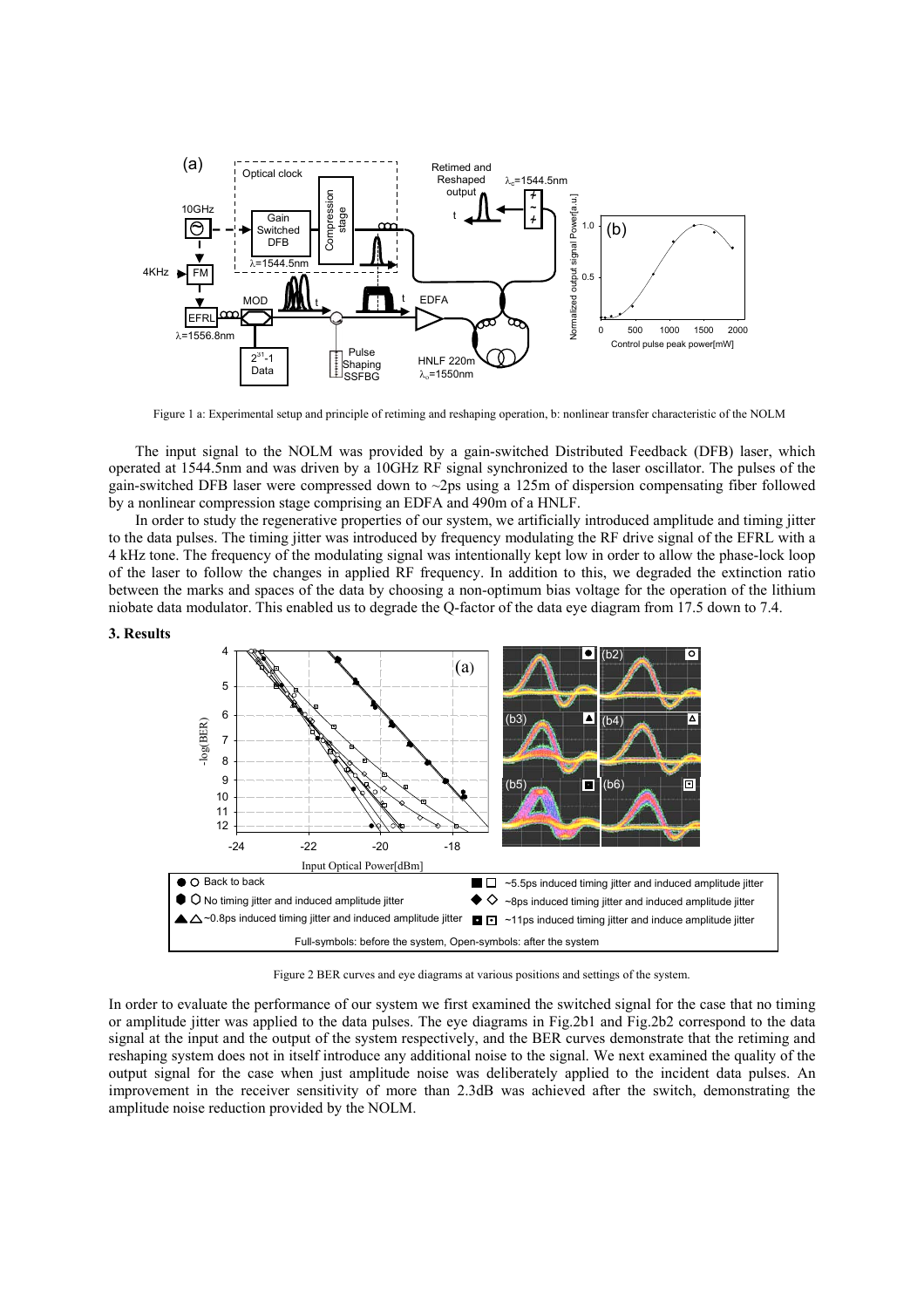

Figure 1 a: Experimental setup and principle of retiming and reshaping operation, b: nonlinear transfer characteristic of the NOLM

The input signal to the NOLM was provided by a gain-switched Distributed Feedback (DFB) laser, which operated at 1544.5nm and was driven by a 10GHz RF signal synchronized to the laser oscillator. The pulses of the gain-switched DFB laser were compressed down to ~2ps using a 125m of dispersion compensating fiber followed by a nonlinear compression stage comprising an EDFA and 490m of a HNLF.

In order to study the regenerative properties of our system, we artificially introduced amplitude and timing jitter to the data pulses. The timing jitter was introduced by frequency modulating the RF drive signal of the EFRL with a 4 kHz tone. The frequency of the modulating signal was intentionally kept low in order to allow the phase-lock loop of the laser to follow the changes in applied RF frequency. In addition to this, we degraded the extinction ratio between the marks and spaces of the data by choosing a non-optimum bias voltage for the operation of the lithium niobate data modulator. This enabled us to degrade the Q-factor of the data eye diagram from 17.5 down to 7.4.

### **3. Results**



Figure 2 BER curves and eye diagrams at various positions and settings of the system.

In order to evaluate the performance of our system we first examined the switched signal for the case that no timing or amplitude jitter was applied to the data pulses. The eye diagrams in Fig.2b1 and Fig.2b2 correspond to the data signal at the input and the output of the system respectively, and the BER curves demonstrate that the retiming and reshaping system does not in itself introduce any additional noise to the signal. We next examined the quality of the output signal for the case when just amplitude noise was deliberately applied to the incident data pulses. An improvement in the receiver sensitivity of more than 2.3dB was achieved after the switch, demonstrating the amplitude noise reduction provided by the NOLM.